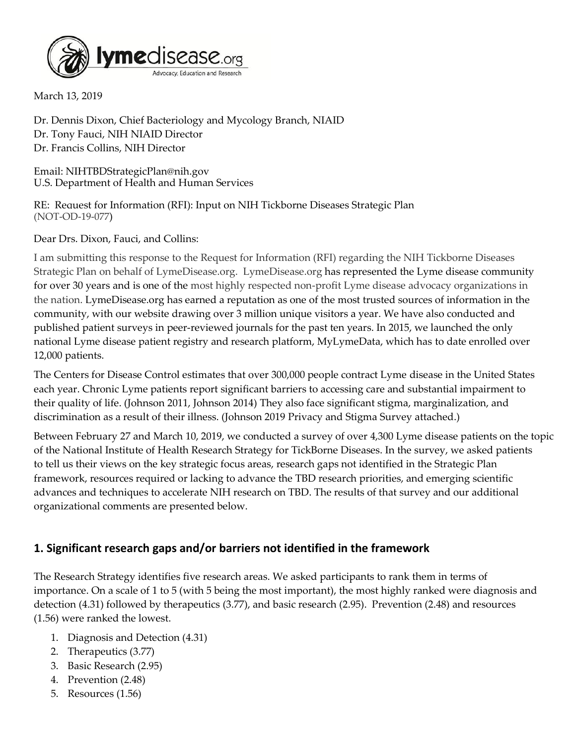

March 13, 2019

Dr. Dennis Dixon, Chief Bacteriology and Mycology Branch, NIAID Dr. Tony Fauci, NIH NIAID Director Dr. Francis Collins, NIH Director

Email: NIHTBDStrategicPlan@nih.gov U.S. Department of Health and Human Services

RE: Request for Information (RFI): Input on NIH Tickborne Diseases Strategic Plan (NOT-OD-19-077)

Dear Drs. Dixon, Fauci, and Collins:

I am submitting this response to the Request for Information (RFI) regarding the NIH Tickborne Diseases Strategic Plan on behalf of LymeDisease.org. LymeDisease.org has represented the Lyme disease community for over 30 years and is one of the most highly respected non-profit Lyme disease advocacy organizations in the nation. LymeDisease.org has earned a reputation as one of the most trusted sources of information in the community, with our website drawing over 3 million unique visitors a year. We have also conducted and published patient surveys in peer-reviewed journals for the past ten years. In 2015, we launched the only national Lyme disease patient registry and research platform, MyLymeData, which has to date enrolled over 12,000 patients.

The Centers for Disease Control estimates that over 300,000 people contract Lyme disease in the United States each year. Chronic Lyme patients report significant barriers to accessing care and substantial impairment to their quality of life. (Johnson 2011, Johnson 2014) They also face significant stigma, marginalization, and discrimination as a result of their illness. (Johnson 2019 Privacy and Stigma Survey attached.)

Between February 27 and March 10, 2019, we conducted a survey of over 4,300 Lyme disease patients on the topic of the National Institute of Health Research Strategy for TickBorne Diseases. In the survey, we asked patients to tell us their views on the key strategic focus areas, research gaps not identified in the Strategic Plan framework, resources required or lacking to advance the TBD research priorities, and emerging scientific advances and techniques to accelerate NIH research on TBD. The results of that survey and our additional organizational comments are presented below.

## **1. Significant research gaps and/or barriers not identified in the framework**

The Research Strategy identifies five research areas. We asked participants to rank them in terms of importance. On a scale of 1 to 5 (with 5 being the most important), the most highly ranked were diagnosis and detection (4.31) followed by therapeutics (3.77), and basic research (2.95). Prevention (2.48) and resources (1.56) were ranked the lowest.

- 1. Diagnosis and Detection (4.31)
- 2. Therapeutics (3.77)
- 3. Basic Research (2.95)
- 4. Prevention (2.48)
- 5. Resources (1.56)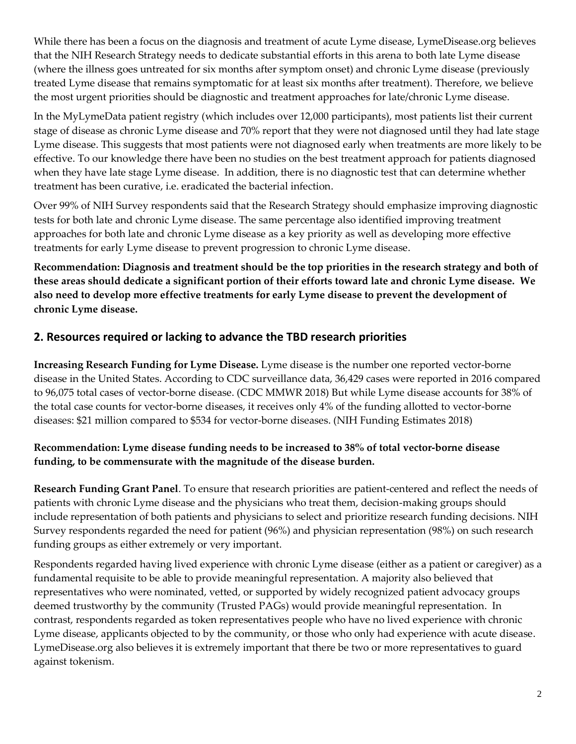While there has been a focus on the diagnosis and treatment of acute Lyme disease, LymeDisease.org believes that the NIH Research Strategy needs to dedicate substantial efforts in this arena to both late Lyme disease (where the illness goes untreated for six months after symptom onset) and chronic Lyme disease (previously treated Lyme disease that remains symptomatic for at least six months after treatment). Therefore, we believe the most urgent priorities should be diagnostic and treatment approaches for late/chronic Lyme disease.

In the MyLymeData patient registry (which includes over 12,000 participants), most patients list their current stage of disease as chronic Lyme disease and 70% report that they were not diagnosed until they had late stage Lyme disease. This suggests that most patients were not diagnosed early when treatments are more likely to be effective. To our knowledge there have been no studies on the best treatment approach for patients diagnosed when they have late stage Lyme disease. In addition, there is no diagnostic test that can determine whether treatment has been curative, i.e. eradicated the bacterial infection.

Over 99% of NIH Survey respondents said that the Research Strategy should emphasize improving diagnostic tests for both late and chronic Lyme disease. The same percentage also identified improving treatment approaches for both late and chronic Lyme disease as a key priority as well as developing more effective treatments for early Lyme disease to prevent progression to chronic Lyme disease.

**Recommendation: Diagnosis and treatment should be the top priorities in the research strategy and both of these areas should dedicate a significant portion of their efforts toward late and chronic Lyme disease. We also need to develop more effective treatments for early Lyme disease to prevent the development of chronic Lyme disease.**

## **2. Resources required or lacking to advance the TBD research priorities**

**Increasing Research Funding for Lyme Disease.** Lyme disease is the number one reported vector-borne disease in the United States. According to CDC surveillance data, 36,429 cases were reported in 2016 compared to 96,075 total cases of vector-borne disease. (CDC MMWR 2018) But while Lyme disease accounts for 38% of the total case counts for vector-borne diseases, it receives only 4% of the funding allotted to vector-borne diseases: \$21 million compared to \$534 for vector-borne diseases. (NIH Funding Estimates 2018)

## **Recommendation: Lyme disease funding needs to be increased to 38% of total vector-borne disease funding, to be commensurate with the magnitude of the disease burden.**

**Research Funding Grant Panel**. To ensure that research priorities are patient-centered and reflect the needs of patients with chronic Lyme disease and the physicians who treat them, decision-making groups should include representation of both patients and physicians to select and prioritize research funding decisions. NIH Survey respondents regarded the need for patient (96%) and physician representation (98%) on such research funding groups as either extremely or very important.

Respondents regarded having lived experience with chronic Lyme disease (either as a patient or caregiver) as a fundamental requisite to be able to provide meaningful representation. A majority also believed that representatives who were nominated, vetted, or supported by widely recognized patient advocacy groups deemed trustworthy by the community (Trusted PAGs) would provide meaningful representation. In contrast, respondents regarded as token representatives people who have no lived experience with chronic Lyme disease, applicants objected to by the community, or those who only had experience with acute disease. LymeDisease.org also believes it is extremely important that there be two or more representatives to guard against tokenism.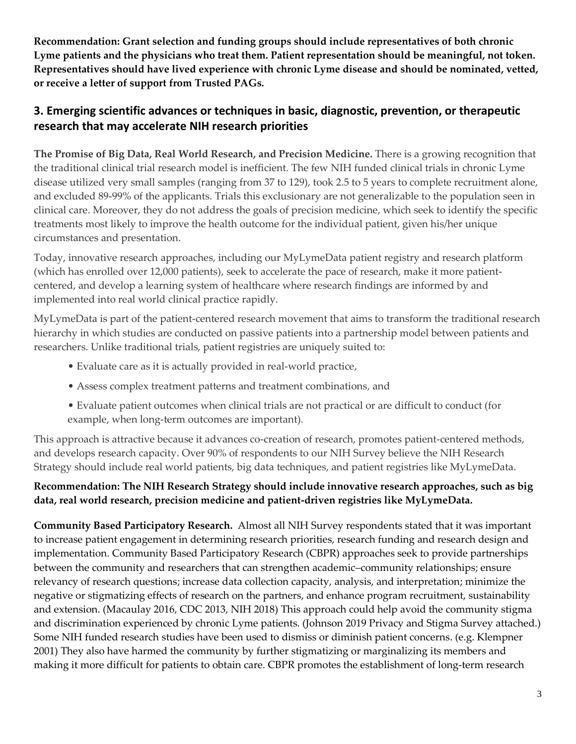**Recommendation: Grant selection and funding groups should include representatives of both chronic Lyme patients and the physicians who treat them. Patient representation should be meaningful, not token. Representatives should have lived experience with chronic Lyme disease and should be nominated, vetted, or receive a letter of support from Trusted PAGs.** 

# **3. Emerging scientific advances or techniques in basic, diagnostic, prevention, or therapeutic research that may accelerate NIH research priorities**

**The Promise of Big Data, Real World Research, and Precision Medicine.** There is a growing recognition that the traditional clinical trial research model is inefficient. The few NIH funded clinical trials in chronic Lyme disease utilized very small samples (ranging from 37 to 129), took 2.5 to 5 years to complete recruitment alone, and excluded 89-99% of the applicants. Trials this exclusionary are not generalizable to the population seen in clinical care. Moreover, they do not address the goals of precision medicine, which seek to identify the specific treatments most likely to improve the health outcome for the individual patient, given his/her unique circumstances and presentation.

Today, innovative research approaches, including our MyLymeData patient registry and research platform (which has enrolled over 12,000 patients), seek to accelerate the pace of research, make it more patientcentered, and develop a learning system of healthcare where research findings are informed by and implemented into real world clinical practice rapidly.

MyLymeData is part of the patient-centered research movement that aims to transform the traditional research hierarchy in which studies are conducted on passive patients into a partnership model between patients and researchers. Unlike traditional trials, patient registries are uniquely suited to:

- Evaluate care as it is actually provided in real-world practice,
- Assess complex treatment patterns and treatment combinations, and
- Evaluate patient outcomes when clinical trials are not practical or are difficult to conduct (for example, when long-term outcomes are important).

This approach is attractive because it advances co-creation of research, promotes patient-centered methods, and develops research capacity. Over 90% of respondents to our NIH Survey believe the NIH Research Strategy should include real world patients, big data techniques, and patient registries like MyLymeData.

## **Recommendation: The NIH Research Strategy should include innovative research approaches, such as big data, real world research, precision medicine and patient-driven registries like MyLymeData.**

**Community Based Participatory Research.** Almost all NIH Survey respondents stated that it was important to increase patient engagement in determining research priorities, research funding and research design and implementation. Community Based Participatory Research (CBPR) approaches seek to provide partnerships between the community and researchers that can strengthen academic–community relationships; ensure relevancy of research questions; increase data collection capacity, analysis, and interpretation; minimize the negative or stigmatizing effects of research on the partners, and enhance program recruitment, sustainability and extension. (Macaulay 2016, CDC 2013, NIH 2018) This approach could help avoid the community stigma and discrimination experienced by chronic Lyme patients. (Johnson 2019 Privacy and Stigma Survey attached.) Some NIH funded research studies have been used to dismiss or diminish patient concerns. (e.g. Klempner 2001) They also have harmed the community by further stigmatizing or marginalizing its members and making it more difficult for patients to obtain care. CBPR promotes the establishment of long-term research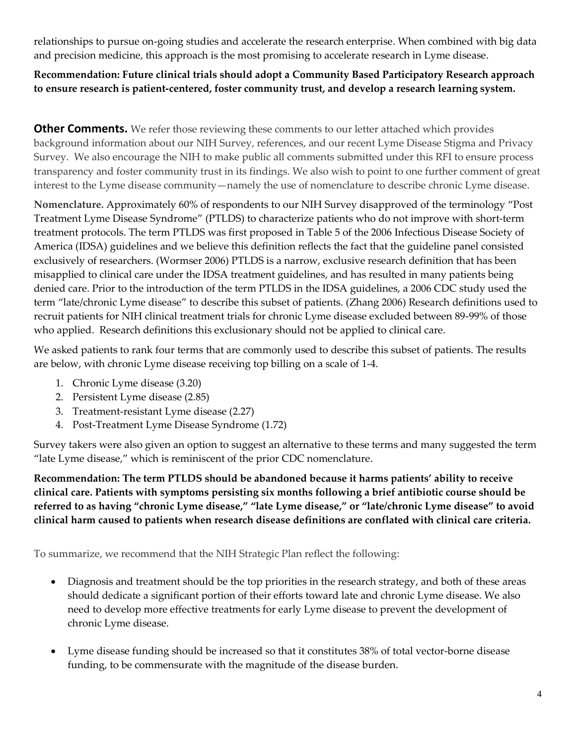relationships to pursue on-going studies and accelerate the research enterprise. When combined with big data and precision medicine, this approach is the most promising to accelerate research in Lyme disease.

## **Recommendation: Future clinical trials should adopt a Community Based Participatory Research approach to ensure research is patient-centered, foster community trust, and develop a research learning system.**

**Other Comments.** We refer those reviewing these comments to our letter attached which provides background information about our NIH Survey, references, and our recent Lyme Disease Stigma and Privacy Survey. We also encourage the NIH to make public all comments submitted under this RFI to ensure process transparency and foster community trust in its findings. We also wish to point to one further comment of great interest to the Lyme disease community—namely the use of nomenclature to describe chronic Lyme disease.

**Nomenclature.** Approximately 60% of respondents to our NIH Survey disapproved of the terminology "Post Treatment Lyme Disease Syndrome" (PTLDS) to characterize patients who do not improve with short-term treatment protocols. The term PTLDS was first proposed in Table 5 of the 2006 Infectious Disease Society of America (IDSA) guidelines and we believe this definition reflects the fact that the guideline panel consisted exclusively of researchers. (Wormser 2006) PTLDS is a narrow, exclusive research definition that has been misapplied to clinical care under the IDSA treatment guidelines, and has resulted in many patients being denied care. Prior to the introduction of the term PTLDS in the IDSA guidelines, a 2006 CDC study used the term "late/chronic Lyme disease" to describe this subset of patients. (Zhang 2006) Research definitions used to recruit patients for NIH clinical treatment trials for chronic Lyme disease excluded between 89-99% of those who applied. Research definitions this exclusionary should not be applied to clinical care.

We asked patients to rank four terms that are commonly used to describe this subset of patients. The results are below, with chronic Lyme disease receiving top billing on a scale of 1-4.

- 1. Chronic Lyme disease (3.20)
- 2. Persistent Lyme disease (2.85)
- 3. Treatment-resistant Lyme disease (2.27)
- 4. Post-Treatment Lyme Disease Syndrome (1.72)

Survey takers were also given an option to suggest an alternative to these terms and many suggested the term "late Lyme disease," which is reminiscent of the prior CDC nomenclature.

**Recommendation: The term PTLDS should be abandoned because it harms patients' ability to receive clinical care. Patients with symptoms persisting six months following a brief antibiotic course should be referred to as having "chronic Lyme disease," "late Lyme disease," or "late/chronic Lyme disease" to avoid clinical harm caused to patients when research disease definitions are conflated with clinical care criteria.**

To summarize, we recommend that the NIH Strategic Plan reflect the following:

- Diagnosis and treatment should be the top priorities in the research strategy, and both of these areas should dedicate a significant portion of their efforts toward late and chronic Lyme disease. We also need to develop more effective treatments for early Lyme disease to prevent the development of chronic Lyme disease.
- Lyme disease funding should be increased so that it constitutes 38% of total vector-borne disease funding, to be commensurate with the magnitude of the disease burden.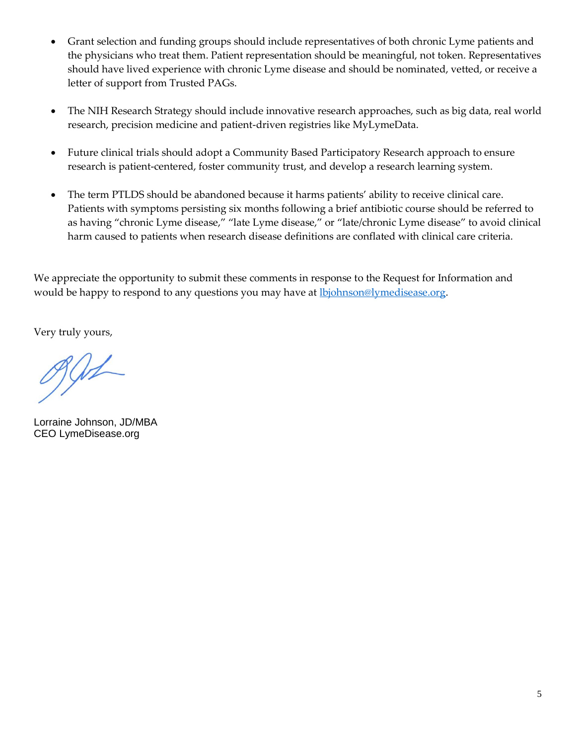- Grant selection and funding groups should include representatives of both chronic Lyme patients and the physicians who treat them. Patient representation should be meaningful, not token. Representatives should have lived experience with chronic Lyme disease and should be nominated, vetted, or receive a letter of support from Trusted PAGs.
- The NIH Research Strategy should include innovative research approaches, such as big data, real world research, precision medicine and patient-driven registries like MyLymeData.
- Future clinical trials should adopt a Community Based Participatory Research approach to ensure research is patient-centered, foster community trust, and develop a research learning system.
- The term PTLDS should be abandoned because it harms patients' ability to receive clinical care. Patients with symptoms persisting six months following a brief antibiotic course should be referred to as having "chronic Lyme disease," "late Lyme disease," or "late/chronic Lyme disease" to avoid clinical harm caused to patients when research disease definitions are conflated with clinical care criteria.

We appreciate the opportunity to submit these comments in response to the Request for Information and would be happy to respond to any questions you may have at **lb**johnson@lymedisease.org.

Very truly yours,

 $991$ 

Lorraine Johnson, JD/MBA CEO LymeDisease.org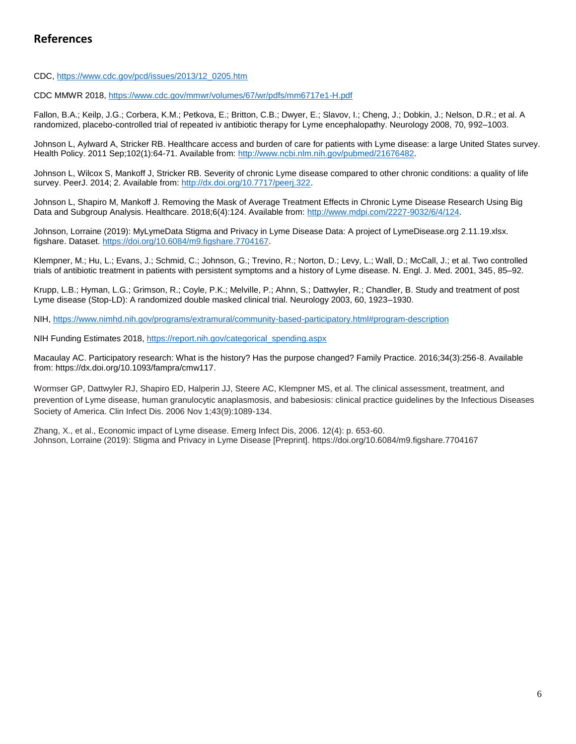CDC, [https://www.cdc.gov/pcd/issues/2013/12\\_0205.htm](https://www.cdc.gov/pcd/issues/2013/12_0205.htm)

CDC MMWR 2018[, https://www.cdc.gov/mmwr/volumes/67/wr/pdfs/mm6717e1-H.pdf](https://www.cdc.gov/mmwr/volumes/67/wr/pdfs/mm6717e1-H.pdf)

Fallon, B.A.; Keilp, J.G.; Corbera, K.M.; Petkova, E.; Britton, C.B.; Dwyer, E.; Slavov, I.; Cheng, J.; Dobkin, J.; Nelson, D.R.; et al. A randomized, placebo-controlled trial of repeated iv antibiotic therapy for Lyme encephalopathy. Neurology 2008, 70, 992–1003.

Johnson L, Aylward A, Stricker RB. Healthcare access and burden of care for patients with Lyme disease: a large United States survey. Health Policy. 2011 Sep;102(1):64-71. Available from: [http://www.ncbi.nlm.nih.gov/pubmed/21676482.](http://www.ncbi.nlm.nih.gov/pubmed/21676482)

Johnson L, Wilcox S, Mankoff J, Stricker RB. Severity of chronic Lyme disease compared to other chronic conditions: a quality of life survey. PeerJ. 2014; 2. Available from: [http://dx.doi.org/10.7717/peerj.322.](http://dx.doi.org/10.7717/peerj.322)

Johnson L, Shapiro M, Mankoff J. Removing the Mask of Average Treatment Effects in Chronic Lyme Disease Research Using Big Data and Subgroup Analysis. Healthcare. 2018;6(4):124. Available from[: http://www.mdpi.com/2227-9032/6/4/124.](http://www.mdpi.com/2227-9032/6/4/124)

Johnson, Lorraine (2019): MyLymeData Stigma and Privacy in Lyme Disease Data: A project of LymeDisease.org 2.11.19.xlsx. figshare. Dataset. [https://doi.org/10.6084/m9.figshare.7704167.](https://doi.org/10.6084/m9.figshare.7704167)

Klempner, M.; Hu, L.; Evans, J.; Schmid, C.; Johnson, G.; Trevino, R.; Norton, D.; Levy, L.; Wall, D.; McCall, J.; et al. Two controlled trials of antibiotic treatment in patients with persistent symptoms and a history of Lyme disease. N. Engl. J. Med. 2001, 345, 85–92.

Krupp, L.B.; Hyman, L.G.; Grimson, R.; Coyle, P.K.; Melville, P.; Ahnn, S.; Dattwyler, R.; Chandler, B. Study and treatment of post Lyme disease (Stop-LD): A randomized double masked clinical trial. Neurology 2003, 60, 1923–1930.

NIH,<https://www.nimhd.nih.gov/programs/extramural/community-based-participatory.html#program-description>

NIH Funding Estimates 2018, [https://report.nih.gov/categorical\\_spending.aspx](https://report.nih.gov/categorical_spending.aspx)

Macaulay AC. Participatory research: What is the history? Has the purpose changed? Family Practice. 2016;34(3):256-8. Available from: [https://dx.doi.org/10.1093/fampra/cmw117.](https://dx.doi.org/10.1093/fampra/cmw117)

Wormser GP, Dattwyler RJ, Shapiro ED, Halperin JJ, Steere AC, Klempner MS, et al. The clinical assessment, treatment, and prevention of Lyme disease, human granulocytic anaplasmosis, and babesiosis: clinical practice guidelines by the Infectious Diseases Society of America. Clin Infect Dis. 2006 Nov 1;43(9):1089-134.

Zhang, X., et al., Economic impact of Lyme disease. Emerg Infect Dis, 2006. 12(4): p. 653-60. Johnson, Lorraine (2019): Stigma and Privacy in Lyme Disease [Preprint]. https://doi.org/10.6084/m9.figshare.7704167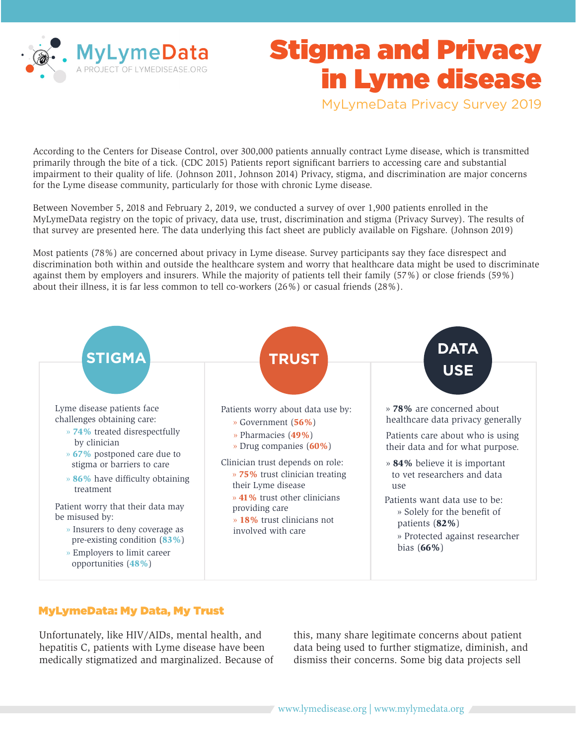

# Stigma and Privacy in Lyme disease

MyLymeData Privacy Survey 2019

According to the Centers for Disease Control, over 300,000 patients annually contract Lyme disease, which is transmitted primarily through the bite of a tick. (CDC 2015) Patients report significant barriers to accessing care and substantial impairment to their quality of life. (Johnson 2011, Johnson 2014) Privacy, stigma, and discrimination are major concerns for the Lyme disease community, particularly for those with chronic Lyme disease.

Between November 5, 2018 and February 2, 2019, we conducted a survey of over 1,900 patients enrolled in the MyLymeData registry on the topic of privacy, data use, trust, discrimination and stigma (Privacy Survey). The results of that survey are presented here. The data underlying this fact sheet are publicly available on Figshare. (Johnson 2019)

Most patients (78%) are concerned about privacy in Lyme disease. Survey participants say they face disrespect and discrimination both within and outside the healthcare system and worry that healthcare data might be used to discriminate against them by employers and insurers. While the majority of patients tell their family (57%) or close friends (59%) about their illness, it is far less common to tell co-workers (26%) or casual friends (28%).



### MyLymeData: My Data, My Trust

Unfortunately, like HIV/AIDs, mental health, and hepatitis C, patients with Lyme disease have been medically stigmatized and marginalized. Because of this, many share legitimate concerns about patient data being used to further stigmatize, diminish, and dismiss their concerns. Some big data projects sell